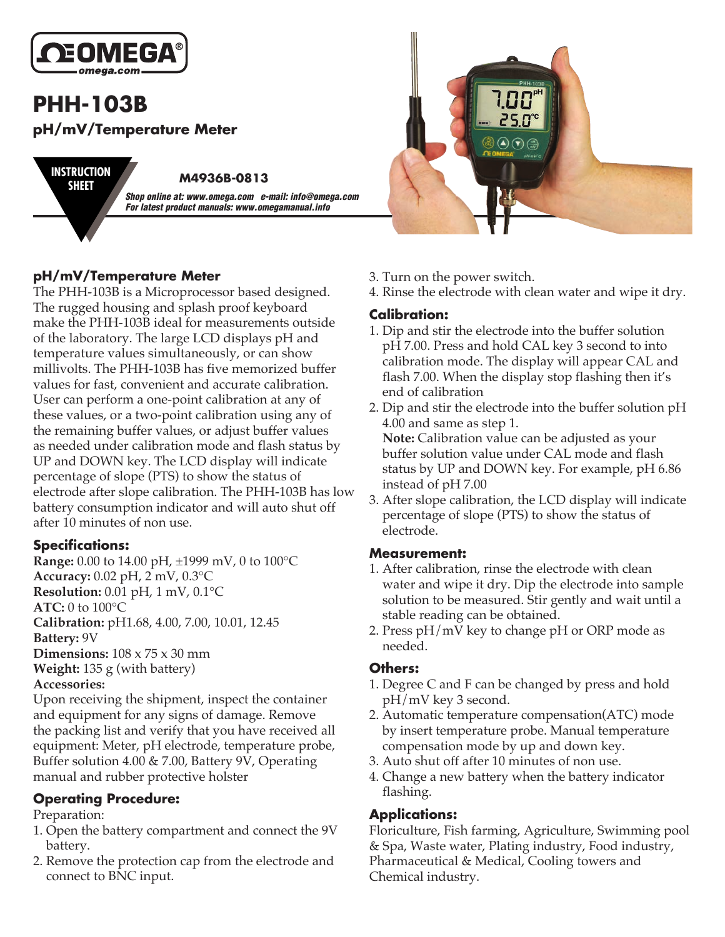

# **PHH-103B pH/mV/Temperature Meter**

**SHEET**

**M4936B-0813 INSTRUCTION** *Shop online at: www.omega.com e-mail: info@omega.com For latest product manuals: www.omegamanual.info*

# **pH/mV/Temperature Meter**

The PHH-103B is a Microprocessor based designed. The rugged housing and splash proof keyboard make the PHH-103B ideal for measurements outside of the laboratory. The large LCD displays pH and temperature values simultaneously, or can show millivolts. The PHH-103B has five memorized buffer values for fast, convenient and accurate calibration. User can perform a one-point calibration at any of these values, or a two-point calibration using any of the remaining buffer values, or adjust buffer values as needed under calibration mode and flash status by UP and DOWN key. The LCD display will indicate percentage of slope (PTS) to show the status of electrode after slope calibration. The PHH-103B has low battery consumption indicator and will auto shut off after 10 minutes of non use.

## **Specifications:**

**Range:** 0.00 to 14.00 pH, ±1999 mV, 0 to 100°C **Accuracy:** 0.02 pH, 2 mV, 0.3°C **Resolution:** 0.01 pH, 1 mV, 0.1°C **ATC:** 0 to 100°C **Calibration:** pH1.68, 4.00, 7.00, 10.01, 12.45 **Battery:** 9V **Dimensions:** 108 x 75 x 30 mm **Weight:** 135 g (with battery) **Accessories:**

Upon receiving the shipment, inspect the container and equipment for any signs of damage. Remove the packing list and verify that you have received all equipment: Meter, pH electrode, temperature probe, Buffer solution 4.00 & 7.00, Battery 9V, Operating manual and rubber protective holster

## **Operating Procedure:**

#### Preparation:

- 1. Open the battery compartment and connect the 9V battery.
- 2. Remove the protection cap from the electrode and connect to BNC input.



- 3. Turn on the power switch.
- 4. Rinse the electrode with clean water and wipe it dry.

## **Calibration:**

- 1. Dip and stir the electrode into the buffer solution pH 7.00. Press and hold CAL key 3 second to into calibration mode. The display will appear CAL and flash 7.00. When the display stop flashing then it's end of calibration
- 2. Dip and stir the electrode into the buffer solution pH 4.00 and same as step 1. **Note:** Calibration value can be adjusted as your buffer solution value under CAL mode and flash status by UP and DOWN key. For example, pH 6.86 instead of pH 7.00
- 3. After slope calibration, the LCD display will indicate percentage of slope (PTS) to show the status of electrode.

#### **Measurement:**

- 1. After calibration, rinse the electrode with clean water and wipe it dry. Dip the electrode into sample solution to be measured. Stir gently and wait until a stable reading can be obtained.
- 2. Press pH/mV key to change pH or ORP mode as needed.

#### **Others:**

- 1. Degree C and F can be changed by press and hold pH/mV key 3 second.
- 2. Automatic temperature compensation(ATC) mode by insert temperature probe. Manual temperature compensation mode by up and down key.
- 3. Auto shut off after 10 minutes of non use.
- 4. Change a new battery when the battery indicator flashing.

# **Applications:**

Floriculture, Fish farming, Agriculture, Swimming pool & Spa, Waste water, Plating industry, Food industry, Pharmaceutical & Medical, Cooling towers and Chemical industry.